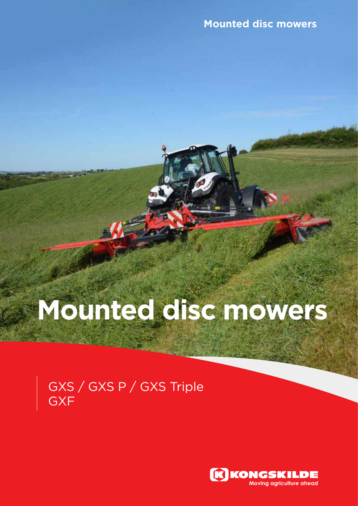# **Mounted disc mowers**

### GXS / GXS P / GXS Triple **GXF**

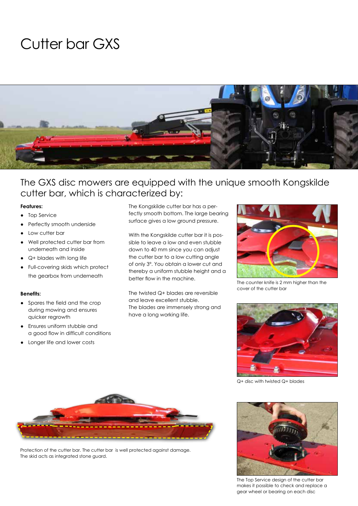## Cutter bar GXS



### The GXS disc mowers are equipped with the unique smooth Kongskilde cutter bar, which is characterized by:

### **Features:**

- **Top Service**
- Perfectly smooth underside
- Low cutter bar
- Well protected cutter bar from underneath and inside
- Q+ blades with long life
- Full-covering skids which protect the gearbox from underneath

### **Benefits:**

- Spares the field and the crop during mowing and ensures quicker regrowth
- Ensures uniform stubble and a good flow in difficult conditions
- Longer life and lower costs

The Kongskilde cutter bar has a perfectly smooth bottom. The large bearing surface gives a low ground pressure.

With the Kongskilde cutter bar it is possible to leave a low and even stubble down to 40 mm since you can adjust the cutter bar to a low cutting angle of only 3º. You obtain a lower cut and thereby a uniform stubble height and a better flow in the machine.

The twisted Q+ blades are reversible and leave excellent stubble. The blades are immensely strong and have a long working life.



The counter knife is 2 mm higher than the cover of the cutter bar



Q+ disc with twisted Q+ blades



Protection of the cutter bar. The cutter bar is well protected against damage. The skid acts as integrated stone guard.



The Top Service design of the cutter bar makes it possible to check and replace a gear wheel or bearing on each disc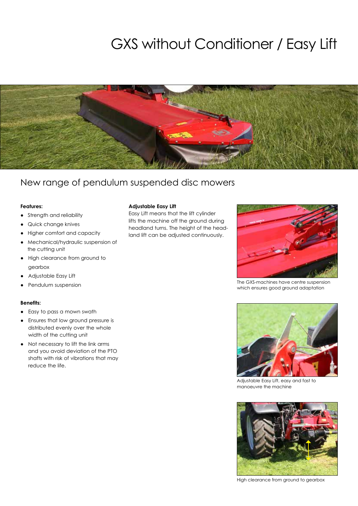# GXS without Conditioner / Easy Lift



### New range of pendulum suspended disc mowers

### **Features:**

- Strength and reliability
- Quick change knives
- Higher comfort and capacity
- Mechanical/hydraulic suspension of the cutting unit
- High clearance from ground to gearbox
- Adjustable Easy Lift
- Pendulum suspension

### **Benefits:**

- Easy to pass a mown swath
- Ensures that low ground pressure is distributed evenly over the whole width of the cutting unit
- Not necessary to lift the link arms and you avoid deviation of the PTO shafts with risk of vibrations that may reduce the life.

### **Adjustable Easy Lift**

Easy Lift means that the lift cylinder lifts the machine off the ground during headland turns. The height of the headland lift can be adjusted continuously.



The GXS-machines have centre suspension which ensures good ground adaptation



Adjustable Easy Lift, easy and fast to manoeuvre the machine



High clearance from ground to gearbox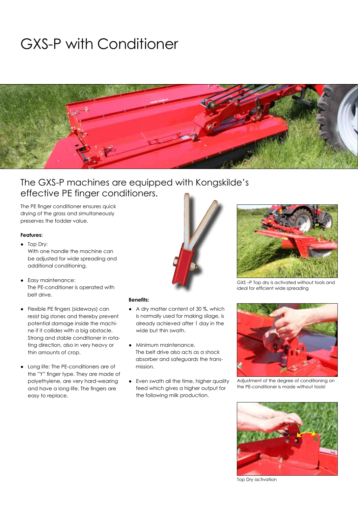# GXS-P with Conditioner



### The GXS-P machines are equipped with Kongskilde's effective PE finger conditioners.

The PE finger conditioner ensures quick drying of the grass and simultaneously preserves the fodder value.

### **Features:**

- Top Dry: With one handle the machine can be adjusted for wide spreading and additional conditioning.
- Easy maintenance: The PE-conditioner is operated with belt drive.
- Flexible PE fingers (sideways) can resist big stones and thereby prevent potential damage inside the machine if it collides with a big obstacle. Strong and stable conditioner in rotating direction, also in very heavy or thin amounts of crop.
- Long life: The PE-conditioners are of the "Y" finger type. They are made of polyethylene, are very hard-wearing and have a long life. The fingers are easy to replace.



- A dry matter content of 30 %, which is normally used for making silage, is already achieved after 1 day in the wide but thin swath.
- Minimum maintenance. The belt drive also acts as a shock absorber and safeguards the transmission.
- Even swath all the time, higher quality feed which gives a higher output for the following milk production.



GXS –P Top dry is activated without tools and ideal for efficient wide spreading



Adjustment of the degree of conditioning on the PE-conditioner is made without tools!



Top Dry activation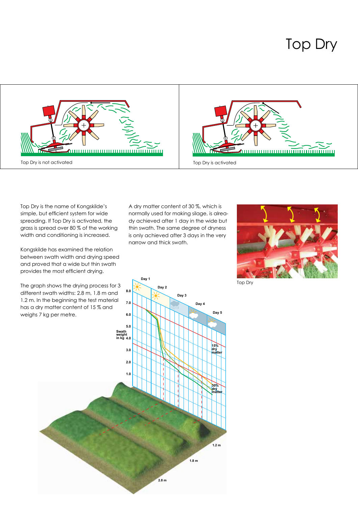



Top Dry is the name of Kongskilde's simple, but efficient system for wide spreading. If Top Dry is activated, the grass is spread over 80 % of the working width and conditioning is increased.

Kongskilde has examined the relation between swath width and drying speed and proved that a wide but thin swath provides the most efficient drying.

A dry matter content of 30 %, which is normally used for making silage, is already achieved after 1 day in the wide but thin swath. The same degree of dryness is only achieved after 3 days in the very narrow and thick swath.



Top Dry

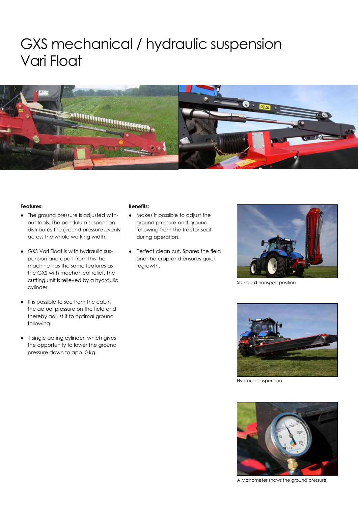### GXS mechanical / hydraulic suspension Vari Float



#### **Features:**

- The ground pressure is adjusted without tools. The pendulum suspension distributes the ground pressure evenly across the whole working width.
- GXS Vari Float is with hydraulic suspension and apart from this the machine has the same features as the GXS with mechanical relief. The cutting unit is relieved by a hydraulic cylinder.
- It is possible to see from the cabin the actual pressure on the field and thereby adjust it to optimal ground following.
- 1 single acting cylinder, which gives the opportunity to lower the ground pressure down to app. 0 kg.

- Makes it possible to adjust the ground pressure and ground following from the tractor seat during operation.
- Perfect clean cut. Spares the field and the crop and ensures quick regrowth.



Standard transport position



Hydraulic suspension



A Manometer shows the ground pressure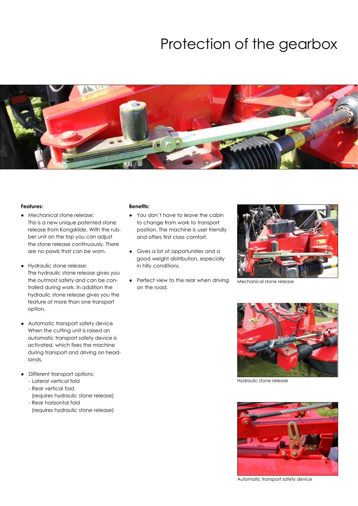### Protection of the gearbox



#### **Features:**

- Mechanical stone release: This is a new unique patented stone release from Kongskilde. With the rubber unit on the top you can adjust the stone release continuously. There are no pawls that can be worn.
- Hydraulic stone release: The hydraulic stone release gives you the outmost safety and can be controlled during work. In addition the hydraulic stone release gives you the feature of more than one transport option.
- Automatic transport safety device When the cutting unit is raised an automatic transport safety device is activated, which fixes the machine during transport and driving on headlands.
- Different transport options:
	- Lateral vertical fold
	- Rear vertical fold (requires hydraulic stone release)
	- Rear horizontal fold (requires hydraulic stone release)

- You don´t have to leave the cabin to change from work to transport position. The machine is user friendly and offers first class comfort.
- Gives a lot of opportunities and a good weight distribution, especially in hilly conditions.
- Perfect view to the rear when driving on the road.



Mechanical stone release



Hydraulic stone release



Automatic transport safety device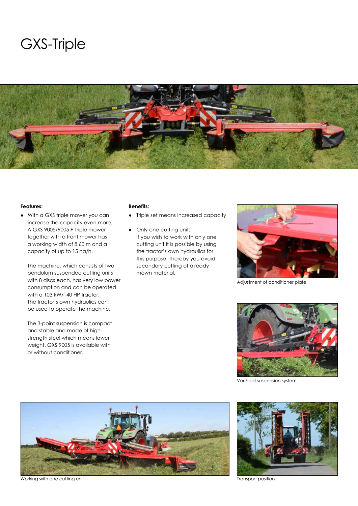### GXS-Triple



#### **Features:**

● With a GXS triple mower you can increase the capacity even more. A GXS 9005/9005 P triple mower together with a front mower has a working width of 8.60 m and a capacity of up to 15 ha/h.

 The machine, which consists of two pendulum suspended cutting units with 8 discs each, has very low power consumption and can be operated with a 103 kW/140 HP tractor. The tractor's own hydraulics can be used to operate the machine.

 The 3-point suspension is compact and stable and made of highstrength steel which means lower weight. GXS 9005 is available with or without conditioner.

- Triple set means increased capacity
- Only one cutting unit: If you wish to work with only one cutting unit it is possible by using the tractor's own hydraulics for this purpose. Thereby you avoid secondary cutting of already mown material.



Adjustment of conditioner plate



VariFloat suspension system



Working with one cutting unit Transport position and the Unit of the Unit of the Unit of the Unit of the Unit of the Unit of the Unit of the Unit of the Unit of the Unit of the Unit of the Unit of the Unit of the Unit of t

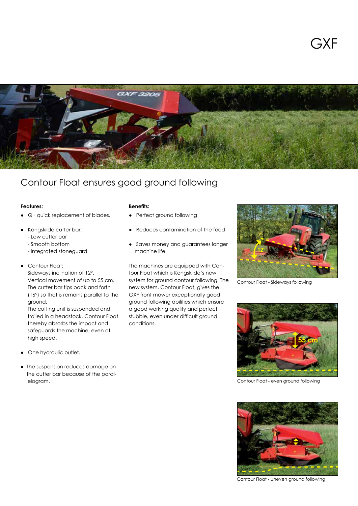

### Contour Float ensures good ground following

#### **Features:**

- 
- Perfect ground following
- Reduces contamination of the feed
- Saves money and guarantees longer machine life

The machines are equipped with Contour Float which is Kongskilde's new system for ground contour following. The new system, Contour Float, gives the GXF front mower exceptionally good ground following abilities which ensure a good working quality and perfect stubble, even under difficult ground conditions.



Contour Float - Sideways following



Contour Float - even ground following



Contour Float - uneven ground following

#### **Benefits:**

- 
- Kongskilde cutter bar:

● Q+ quick replacement of blades.

- Low cutter bar
- Smooth bottom
- Integrated stoneguard

### ● Contour Float:

 Sideways inclination of 12°. Vertical movement of up to 55 cm. The cutter bar tips back and forth (16°) so that is remains parallel to the ground.

 The cutting unit is suspended and trailed in a headstock. Contour Float thereby absorbs the impact and safeguards the machine, even at high speed.

- One hydraulic outlet.
- The suspension reduces damage on the cutter bar because of the parallelogram.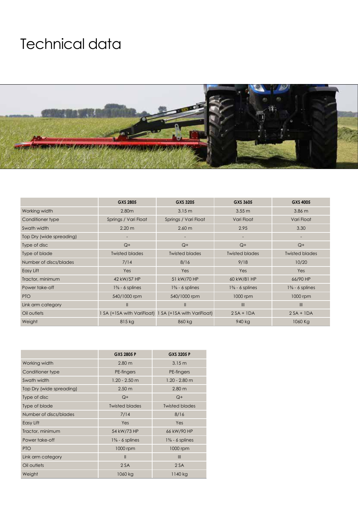# Technical data



|                          | GXS 2805              | GXS 3205                                              | GXS 3605              | <b>GXS 4005</b>       |
|--------------------------|-----------------------|-------------------------------------------------------|-----------------------|-----------------------|
| Working width            | 2.80 <sub>m</sub>     | 3.15 m                                                | $3.55 \text{ m}$      | $3.86$ m              |
| Conditioner type         | Springs / Vari Float  | Springs / Vari Float                                  | Vari Float            | Vari Float            |
| Swath width              | $2.20 \text{ m}$      | 2.60 m                                                | 2.95                  | 3.30                  |
| Top Dry (wide spreading) |                       |                                                       |                       |                       |
| Type of disc             | $Q+$                  | $Q+$                                                  | $Q+$                  | $Q+$                  |
| Type of blade            | <b>Twisted blades</b> | <b>Twisted blades</b>                                 | <b>Twisted blades</b> | <b>Twisted blades</b> |
| Number of discs/blades   | 7/14                  | 8/16                                                  | 9/18                  | 10/20                 |
| Easy Lift                | Yes                   | Yes                                                   | Yes                   | Yes                   |
| Tractor, minimum         | 42 kW/57 HP           | 51 kW/70 HP                                           | 60 kW/81 HP           | 66/90 HP              |
| Power take-off           | $1\% - 6$ splines     | $1\% - 6$ splines                                     | $1\% - 6$ splines     | $1\% - 6$ splines     |
| PTO                      | 540/1000 rpm          | 540/1000 rpm                                          | 1000 rpm              | 1000 rpm              |
| Link arm category        | Ш                     | $\mathbf{I}$                                          | $\mathbf{III}$        | $\mathbf{III}$        |
| Oil outlets              |                       | 1 SA (+1SA with VariFloat) 1 SA (+1SA with VariFloat) | $2SA + IDA$           | $2SA + IDA$           |
| Weight                   | 815 kg                | 860 kg                                                | 940 kg                | 1060 Kg               |

|                          | GXS 2805 P            | GXS 3205 P            |
|--------------------------|-----------------------|-----------------------|
| Working width            | 2.80 <sub>m</sub>     | 3.15m                 |
| Conditioner type         | PE-fingers            | PE-fingers            |
| Swath width              | $1.20 - 2.50$ m       | $1.20 - 2.80$ m       |
| Top Dry (wide spreading) | 2.50 <sub>m</sub>     | 2.80 <sub>m</sub>     |
| Type of disc             | $Q+$                  | $Q+$                  |
| Type of blade            | <b>Twisted blades</b> | <b>Twisted blades</b> |
| Number of discs/blades   | 7/14                  | 8/16                  |
| Easy Lift                | Yes                   | Yes                   |
| Tractor, minimum         | 54 kW/73 HP           | 66 kW/90 HP           |
| Power take-off           | $1\% - 6$ splines     | $1\% - 6$ splines     |
| <b>PTO</b>               | 1000 rpm              | 1000 rpm              |
| Link arm category        | $\mathbf{II}$         | Ш                     |
| Oil outlets              | 2SA                   | 2SA                   |
| Weight                   | 1060 kg               | 1140 kg               |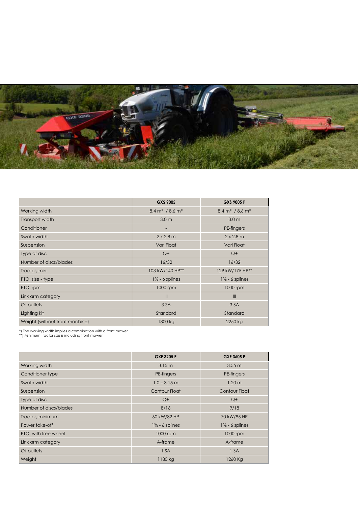

|                                | GXS 9005                            | GXS 9005 P                          |
|--------------------------------|-------------------------------------|-------------------------------------|
| Working width                  | $8.4 \text{ m}^* / 8.6 \text{ m}^*$ | $8.4 \text{ m}^* / 8.6 \text{ m}^*$ |
| Transport width                | 3.0 <sub>m</sub>                    | 3.0 <sub>m</sub>                    |
| Conditioner                    | -                                   | PE-fingers                          |
| Swath width                    | $2 \times 2.8$ m                    | $2 \times 2.8$ m                    |
| Suspension                     | Vari Float                          | Vari Float                          |
| Type of disc                   | $Q+$                                | $Q+$                                |
| Number of discs/blades         | 16/32                               | 16/32                               |
| Tractor, min.                  | 103 kW/140 HP**                     | 129 kW/175 HP**                     |
| PTO, size - type               | $1\% - 6$ splines                   | $1\% - 6$ splines                   |
| PTO, rpm                       | 1000 rpm                            | 1000 rpm                            |
| Link arm category              | $\mathbf{III}$                      | III                                 |
| Oil outlets                    | 3 SA                                | 3 SA                                |
| Lighting kit                   | Standard                            | Standard                            |
| Weight (without front machine) | 1800 kg                             | 2250 kg                             |

\*) The working width implies a combination with a front mower. \*\*) Minimum tractor size is including front mower

|                        | GXF 3205 P        | GXF 3605 P        |
|------------------------|-------------------|-------------------|
| Working width          | 3.15 m            | 3.55 <sub>m</sub> |
| Conditioner type       | PE-fingers        | PE-fingers        |
| Swath width            | $1.0 - 3.15$ m    | 1.20 <sub>m</sub> |
| Suspension             | Contour Float     | Contour Float     |
| Type of disc           | $Q+$              | $Q+$              |
| Number of discs/blades | 8/16              | 9/18              |
| Tractor, minimum       | 60 kW/82 HP       | 70 kW/95 HP       |
| Power take-off         | $1\% - 6$ splines | $1\% - 6$ splines |
| PTO, with free wheel   | 1000 rpm          | 1000 rpm          |
| Link arm category      | A-frame           | A-frame           |
| Oil outlets            | 1 SA              | 1 SA              |
| Weight                 | 1180 kg           | 1260 Kg           |